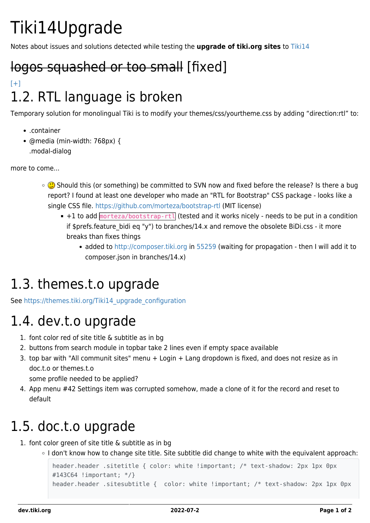# Tiki14Upgrade

Notes about issues and solutions detected while testing the **upgrade of tiki.org sites** to [Tiki14](https://dev.tiki.org/Tiki14)

## logos squashed or too small [fixed]

#### $[+]$ 1.2. RTL language is broken

Temporary solution for monolingual Tiki is to modify your themes/css/yourtheme.css by adding "direction:rtl" to:

- .container
- @media (min-width: 768px) { .modal-dialog

more to come...

- **C** Should this (or something) be committed to SVN now and fixed before the release? Is there a bug report? I found at least one developer who made an "RTL for Bootstrap" CSS package - looks like a single CSS file. <https://github.com/morteza/bootstrap-rtl>(MIT license)
	- $+1$  to add  $\frac{1}{2}$  hootstrap-rtl (tested and it works nicely needs to be put in a condition if \$prefs.feature bidi eq "y") to branches/14.x and remove the obsolete BiDi.css - it more breaks than fixes things
		- added to<http://composer.tiki.org> in [55259](http://sourceforge.net/p/tikiwiki/code/55259/) (waiting for propagation then I will add it to composer.json in branches/14.x)

### 1.3. themes.t.o upgrade

See [https://themes.tiki.org/Tiki14\\_upgrade\\_configuration](https://themes.tiki.org/Tiki14_upgrade_configuration)

#### 1.4. dev.t.o upgrade

- 1. font color red of site title & subtitle as in bg
- 2. buttons from search module in topbar take 2 lines even if empty space available
- 3. top bar with "All communit sites" menu + Login + Lang dropdown is fixed, and does not resize as in doc.t.o or themes.t.o

some profile needed to be applied?

4. App menu #42 Settings item was corrupted somehow, made a clone of it for the record and reset to default

### 1.5. doc.t.o upgrade

- 1. font color green of site title & subtitle as in bg
	- o I don't know how to change site title. Site subtitle did change to white with the equivalent approach:

```
header.header .sitetitle { color: white !important; /* text-shadow: 2px 1px 0px
#143C64 !important; */}
header.header .sitesubtitle { color: white !important; /* text-shadow: 2px 1px 0px
```